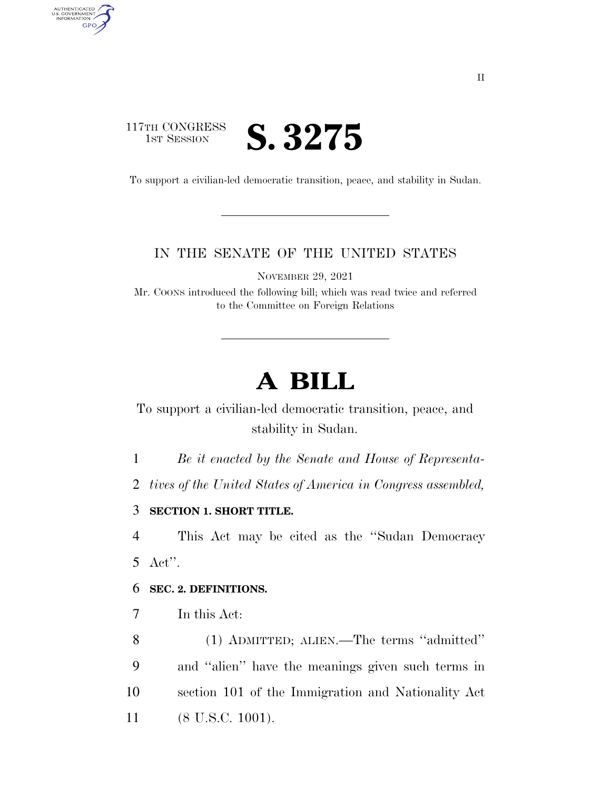## 117TH CONGRESS **IST SESSION S. 3275**

AUTHENTICATED<br>U.S. GOVERNMENT<br>INFORMATION GPO

To support a civilian-led democratic transition, peace, and stability in Sudan.

### IN THE SENATE OF THE UNITED STATES

NOVEMBER 29, 2021

Mr. COONS introduced the following bill; which was read twice and referred to the Committee on Foreign Relations

# **A BILL**

To support a civilian-led democratic transition, peace, and stability in Sudan.

1 *Be it enacted by the Senate and House of Representa-*

2 *tives of the United States of America in Congress assembled,* 

3 **SECTION 1. SHORT TITLE.** 

4 This Act may be cited as the ''Sudan Democracy 5 Act''.

### 6 **SEC. 2. DEFINITIONS.**

7 In this Act:

 (1) ADMITTED; ALIEN.—The terms ''admitted'' and ''alien'' have the meanings given such terms in section 101 of the Immigration and Nationality Act 11 (8 U.S.C. 1001).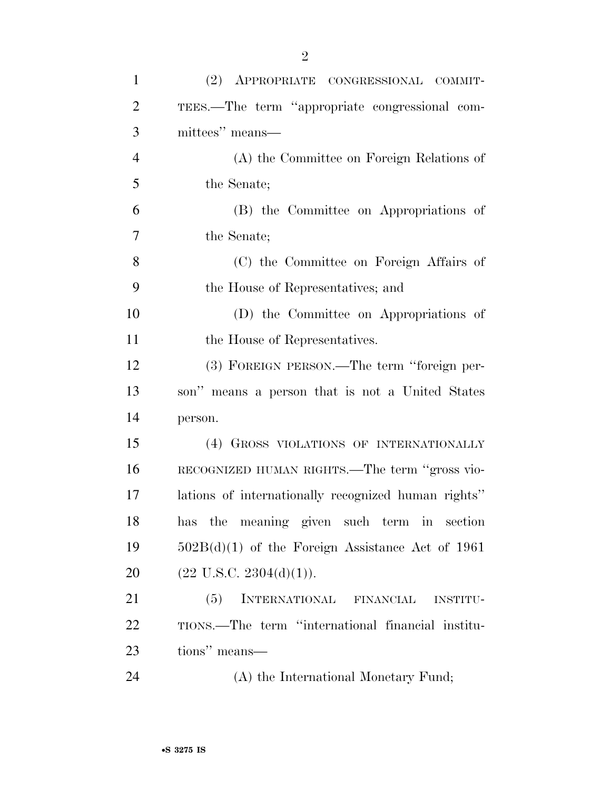| $\mathbf{1}$   | (2) APPROPRIATE CONGRESSIONAL COMMIT-               |
|----------------|-----------------------------------------------------|
| $\overline{2}$ | TEES.—The term "appropriate congressional com-      |
| 3              | mittees" means—                                     |
| $\overline{4}$ | (A) the Committee on Foreign Relations of           |
| 5              | the Senate;                                         |
| 6              | (B) the Committee on Appropriations of              |
| 7              | the Senate;                                         |
| 8              | (C) the Committee on Foreign Affairs of             |
| 9              | the House of Representatives; and                   |
| 10             | (D) the Committee on Appropriations of              |
| 11             | the House of Representatives.                       |
| 12             | (3) FOREIGN PERSON.—The term "foreign per-          |
| 13             | son" means a person that is not a United States     |
| 14             | person.                                             |
| 15             | (4) GROSS VIOLATIONS OF INTERNATIONALLY             |
| 16             | RECOGNIZED HUMAN RIGHTS.—The term "gross vio-       |
| 17             | lations of internationally recognized human rights" |
| 18             | has the meaning given such term in section          |
| 19             | $502B(d)(1)$ of the Foreign Assistance Act of 1961  |
| 20             | $(22 \text{ U.S.C. } 2304(d)(1)).$                  |
| 21             | INTERNATIONAL FINANCIAL<br>(5)<br><b>INSTITU-</b>   |
| 22             | TIONS.—The term "international financial institu-   |
| 23             | tions" means-                                       |
| 24             | (A) the International Monetary Fund;                |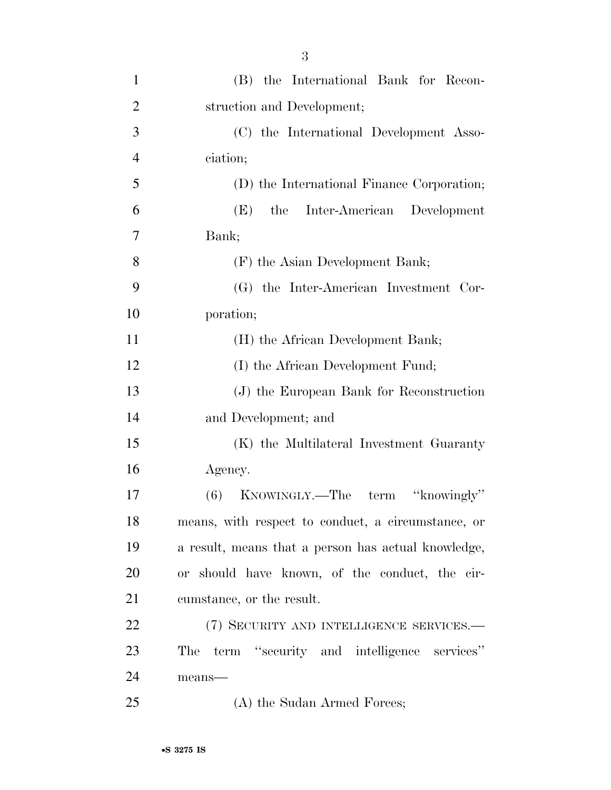| $\mathbf{1}$   | (B) the International Bank for Recon-               |
|----------------|-----------------------------------------------------|
| $\overline{2}$ | struction and Development;                          |
| 3              | (C) the International Development Asso-             |
| $\overline{4}$ | ciation;                                            |
| 5              | (D) the International Finance Corporation;          |
| 6              | Inter-American Development<br>the<br>(E)            |
| $\overline{7}$ | Bank;                                               |
| 8              | (F) the Asian Development Bank;                     |
| 9              | (G) the Inter-American Investment Cor-              |
| 10             | poration;                                           |
| 11             | (H) the African Development Bank;                   |
| 12             | (I) the African Development Fund;                   |
| 13             | (J) the European Bank for Reconstruction            |
| 14             | and Development; and                                |
| 15             | (K) the Multilateral Investment Guaranty            |
| 16             | Agency.                                             |
| 17             | KNOWINGLY.—The term "knowingly"<br>(6)              |
| 18             | means, with respect to conduct, a circumstance, or  |
| 19             | a result, means that a person has actual knowledge, |
| 20             | or should have known, of the conduct, the cir-      |
| 21             | cumstance, or the result.                           |
| 22             | (7) SECURITY AND INTELLIGENCE SERVICES.-            |
| 23             | term "security and intelligence services"<br>The    |
| 24             | means-                                              |
| 25             | (A) the Sudan Armed Forces;                         |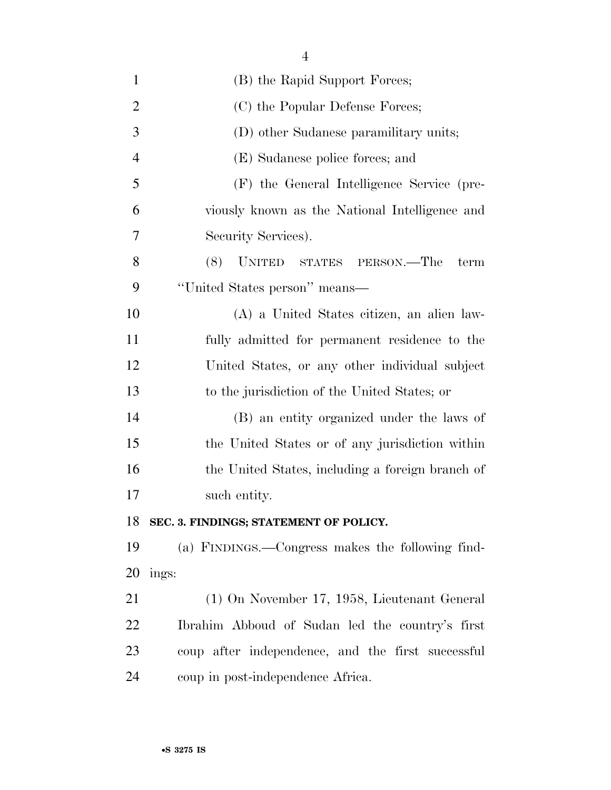| $\mathbf{1}$   | (B) the Rapid Support Forces;                     |
|----------------|---------------------------------------------------|
| $\overline{2}$ | (C) the Popular Defense Forces;                   |
| 3              | (D) other Sudanese paramilitary units;            |
| $\overline{4}$ | (E) Sudanese police forces; and                   |
| 5              | (F) the General Intelligence Service (pre-        |
| 6              | viously known as the National Intelligence and    |
| 7              | Security Services).                               |
| 8              | (8)<br>UNITED STATES PERSON.—The<br>term          |
| 9              | "United States person" means—                     |
| 10             | (A) a United States citizen, an alien law-        |
| 11             | fully admitted for permanent residence to the     |
| 12             | United States, or any other individual subject    |
| 13             | to the jurisdiction of the United States; or      |
| 14             | (B) an entity organized under the laws of         |
| 15             | the United States or of any jurisdiction within   |
| 16             | the United States, including a foreign branch of  |
| 17             | such entity.                                      |
| 18             | SEC. 3. FINDINGS; STATEMENT OF POLICY.            |
| 19             | (a) FINDINGS.—Congress makes the following find-  |
| 20             | ings:                                             |
| 21             | (1) On November 17, 1958, Lieutenant General      |
| <u>22</u>      | Ibrahim Abboud of Sudan led the country's first   |
| 23             | coup after independence, and the first successful |

coup in post-independence Africa.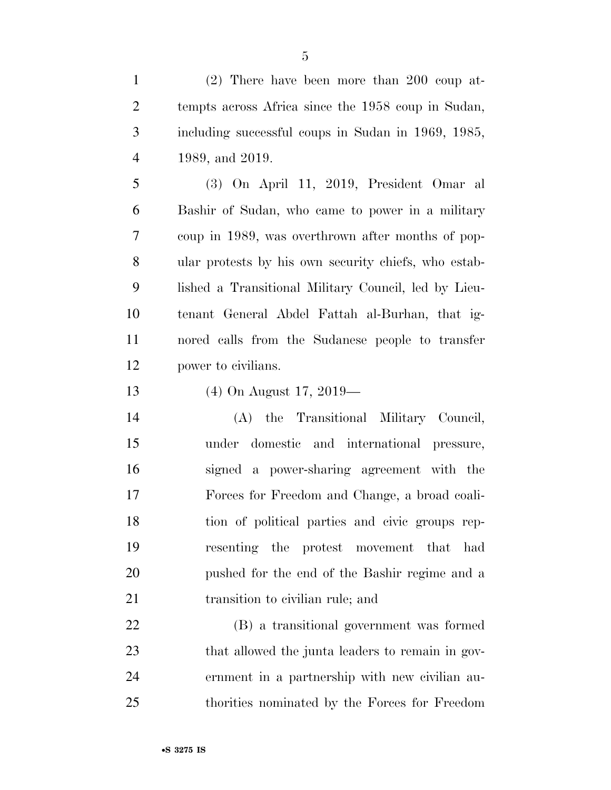(2) There have been more than 200 coup at- tempts across Africa since the 1958 coup in Sudan, including successful coups in Sudan in 1969, 1985, 1989, and 2019.

 (3) On April 11, 2019, President Omar al Bashir of Sudan, who came to power in a military coup in 1989, was overthrown after months of pop- ular protests by his own security chiefs, who estab- lished a Transitional Military Council, led by Lieu- tenant General Abdel Fattah al-Burhan, that ig- nored calls from the Sudanese people to transfer power to civilians.

(4) On August 17, 2019—

 (A) the Transitional Military Council, under domestic and international pressure, signed a power-sharing agreement with the Forces for Freedom and Change, a broad coali- tion of political parties and civic groups rep- resenting the protest movement that had pushed for the end of the Bashir regime and a 21 transition to civilian rule; and

 (B) a transitional government was formed 23 that allowed the junta leaders to remain in gov- ernment in a partnership with new civilian au-thorities nominated by the Forces for Freedom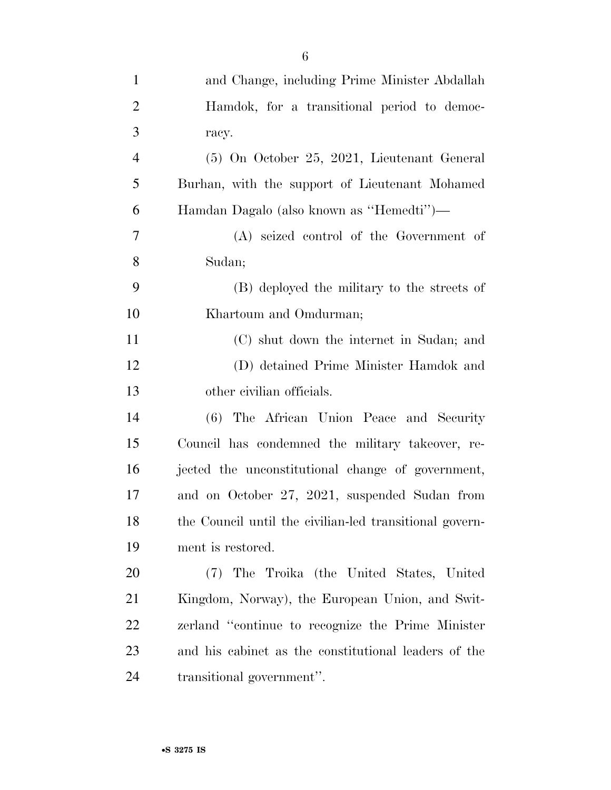| $\mathbf{1}$   | and Change, including Prime Minister Abdallah           |
|----------------|---------------------------------------------------------|
| $\overline{2}$ | Hamdok, for a transitional period to democ-             |
| 3              | racy.                                                   |
| $\overline{4}$ | (5) On October 25, 2021, Lieutenant General             |
| 5              | Burhan, with the support of Lieutenant Mohamed          |
| 6              | Hamdan Dagalo (also known as "Hemedti")—                |
| 7              | (A) seized control of the Government of                 |
| 8              | Sudan;                                                  |
| 9              | (B) deployed the military to the streets of             |
| 10             | Khartoum and Omdurman;                                  |
| 11             | (C) shut down the internet in Sudan; and                |
| 12             | (D) detained Prime Minister Hamdok and                  |
| 13             | other civilian officials.                               |
| 14             | (6) The African Union Peace and Security                |
| 15             | Council has condemned the military takeover, re-        |
| 16             | jected the unconstitutional change of government,       |
| 17             | and on October 27, 2021, suspended Sudan from           |
| 18             | the Council until the civilian-led transitional govern- |
| 19             | ment is restored.                                       |
| 20             | (7) The Troika (the United States, United               |
| 21             | Kingdom, Norway), the European Union, and Swit-         |
| 22             | zerland "continue to recognize the Prime Minister       |
| 23             | and his cabinet as the constitutional leaders of the    |
| 24             | transitional government".                               |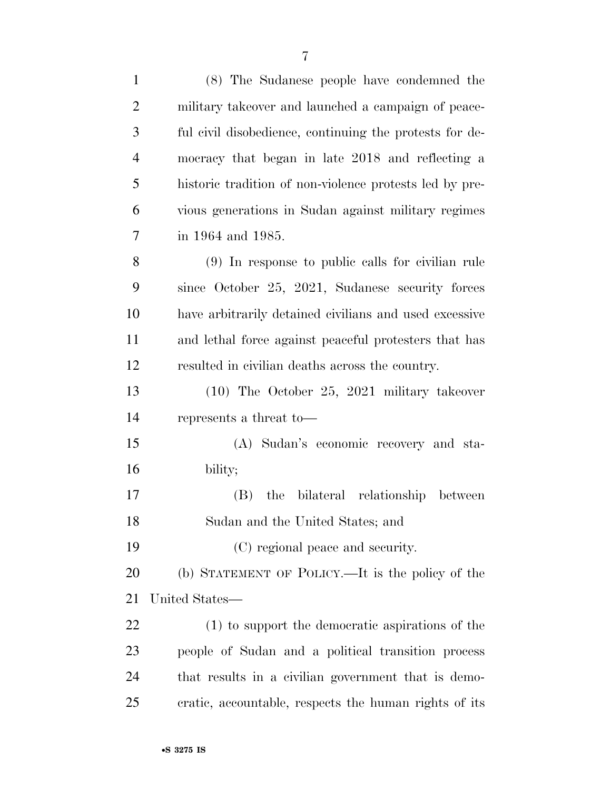| $\mathbf{1}$   | (8) The Sudanese people have condemned the              |
|----------------|---------------------------------------------------------|
| $\overline{2}$ | military takeover and launched a campaign of peace-     |
| 3              | ful civil disobedience, continuing the protests for de- |
| $\overline{4}$ | mocracy that began in late 2018 and reflecting a        |
| 5              | historic tradition of non-violence protests led by pre- |
| 6              | vious generations in Sudan against military regimes     |
| 7              | in 1964 and 1985.                                       |
| 8              | (9) In response to public calls for civilian rule       |
| 9              | since October 25, 2021, Sudanese security forces        |
| 10             | have arbitrarily detained civilians and used excessive  |
| 11             | and lethal force against peaceful protesters that has   |
| 12             | resulted in civilian deaths across the country.         |
| 13             | $(10)$ The October 25, 2021 military takeover           |
| 14             | represents a threat to-                                 |
| 15             | (A) Sudan's economic recovery and sta-                  |
| 16             | bility;                                                 |
| 17             | the bilateral relationship between<br>(B)               |
| 18             | Sudan and the United States; and                        |
| 19             | (C) regional peace and security.                        |
| 20             | (b) STATEMENT OF POLICY.—It is the policy of the        |
| 21             | United States—                                          |
| 22             | (1) to support the democratic aspirations of the        |
| 23             | people of Sudan and a political transition process      |
| 24             | that results in a civilian government that is demo-     |
| 25             | cratic, accountable, respects the human rights of its   |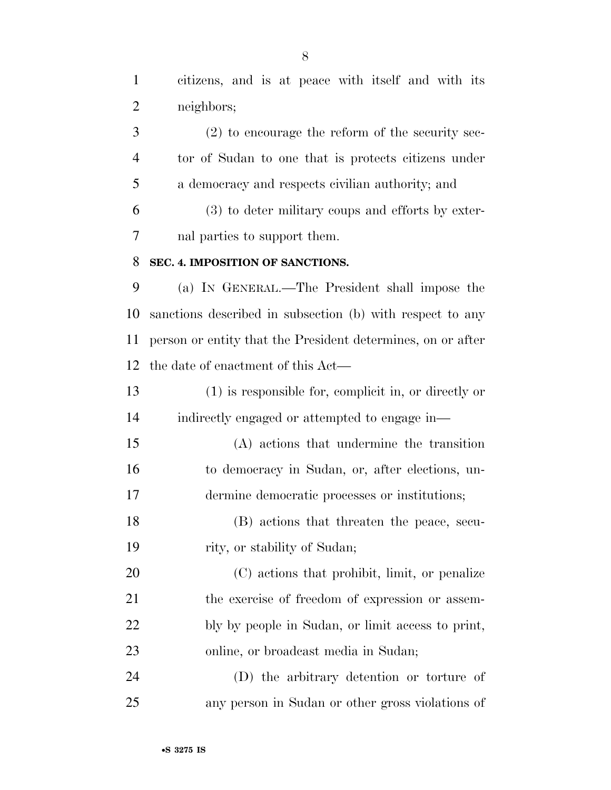citizens, and is at peace with itself and with its neighbors;

 (2) to encourage the reform of the security sec- tor of Sudan to one that is protects citizens under a democracy and respects civilian authority; and

 (3) to deter military coups and efforts by exter-nal parties to support them.

#### **SEC. 4. IMPOSITION OF SANCTIONS.**

 (a) IN GENERAL.—The President shall impose the sanctions described in subsection (b) with respect to any person or entity that the President determines, on or after the date of enactment of this Act—

 (1) is responsible for, complicit in, or directly or indirectly engaged or attempted to engage in—

 (A) actions that undermine the transition to democracy in Sudan, or, after elections, un-dermine democratic processes or institutions;

 (B) actions that threaten the peace, secu-rity, or stability of Sudan;

 (C) actions that prohibit, limit, or penalize 21 the exercise of freedom of expression or assem- bly by people in Sudan, or limit access to print, online, or broadcast media in Sudan;

 (D) the arbitrary detention or torture of any person in Sudan or other gross violations of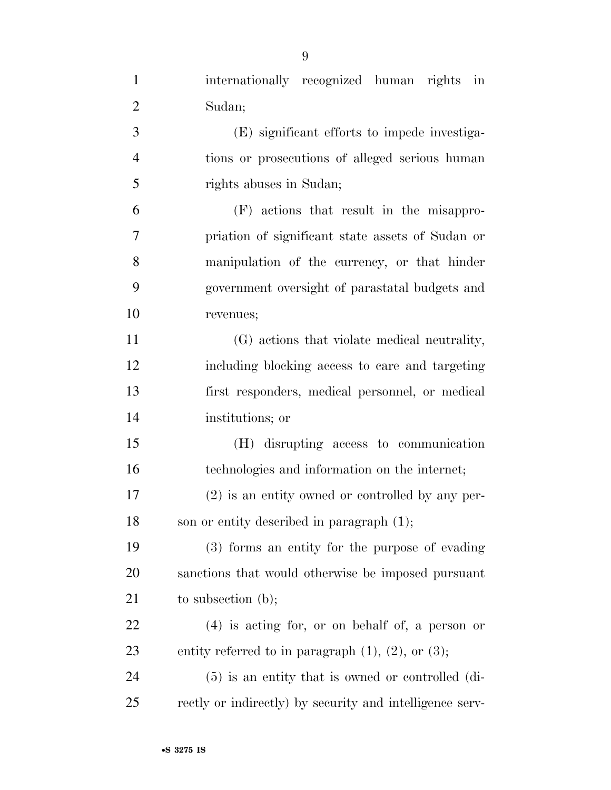| $\mathbf{1}$   | internationally recognized human rights in                 |
|----------------|------------------------------------------------------------|
| $\overline{2}$ | Sudan;                                                     |
| 3              | (E) significant efforts to impede investiga-               |
| 4              | tions or prosecutions of alleged serious human             |
| 5              | rights abuses in Sudan;                                    |
| 6              | (F) actions that result in the misappro-                   |
| 7              | priation of significant state assets of Sudan or           |
| 8              | manipulation of the currency, or that hinder               |
| 9              | government oversight of parastatal budgets and             |
| 10             | revenues;                                                  |
| 11             | (G) actions that violate medical neutrality,               |
| 12             | including blocking access to care and targeting            |
| 13             | first responders, medical personnel, or medical            |
| 14             | institutions; or                                           |
| 15             | (H) disrupting access to communication                     |
| 16             | technologies and information on the internet;              |
| 17             | (2) is an entity owned or controlled by any per-           |
| 18             | son or entity described in paragraph $(1)$ ;               |
| 19             | (3) forms an entity for the purpose of evading             |
| 20             | sanctions that would otherwise be imposed pursuant         |
| 21             | to subsection $(b)$ ;                                      |
| 22             | $(4)$ is acting for, or on behalf of, a person or          |
| 23             | entity referred to in paragraph $(1)$ , $(2)$ , or $(3)$ ; |
| 24             | $(5)$ is an entity that is owned or controlled (di-        |
| 25             | rectly or indirectly) by security and intelligence serv-   |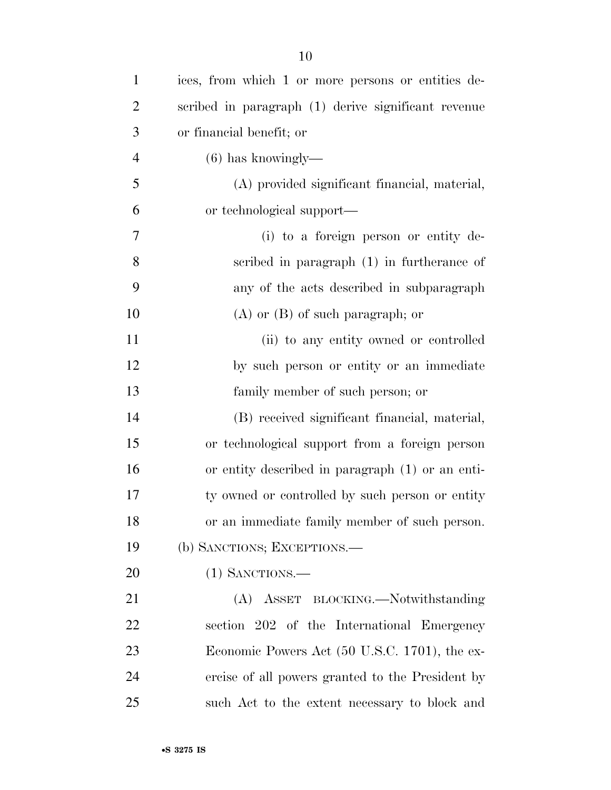| $\mathbf{1}$   | ices, from which 1 or more persons or entities de-  |
|----------------|-----------------------------------------------------|
| $\overline{2}$ | scribed in paragraph (1) derive significant revenue |
| 3              | or financial benefit; or                            |
| $\overline{4}$ | $(6)$ has knowingly—                                |
| 5              | (A) provided significant financial, material,       |
| 6              | or technological support—                           |
| 7              | (i) to a foreign person or entity de-               |
| 8              | scribed in paragraph $(1)$ in furtherance of        |
| 9              | any of the acts described in subparagraph           |
| 10             | $(A)$ or $(B)$ of such paragraph; or                |
| 11             | (ii) to any entity owned or controlled              |
| 12             | by such person or entity or an immediate            |
| 13             | family member of such person; or                    |
| 14             | (B) received significant financial, material,       |
| 15             | or technological support from a foreign person      |
| 16             | or entity described in paragraph (1) or an enti-    |
| 17             | ty owned or controlled by such person or entity     |
| 18             | or an immediate family member of such person.       |
| 19             | (b) SANCTIONS; EXCEPTIONS.—                         |
| 20             | $(1)$ SANCTIONS.—                                   |
| 21             | (A) ASSET BLOCKING.—Notwithstanding                 |
| 22             | section 202 of the International Emergency          |
| 23             | Economic Powers Act (50 U.S.C. 1701), the ex-       |
| 24             | ercise of all powers granted to the President by    |
| 25             | such Act to the extent necessary to block and       |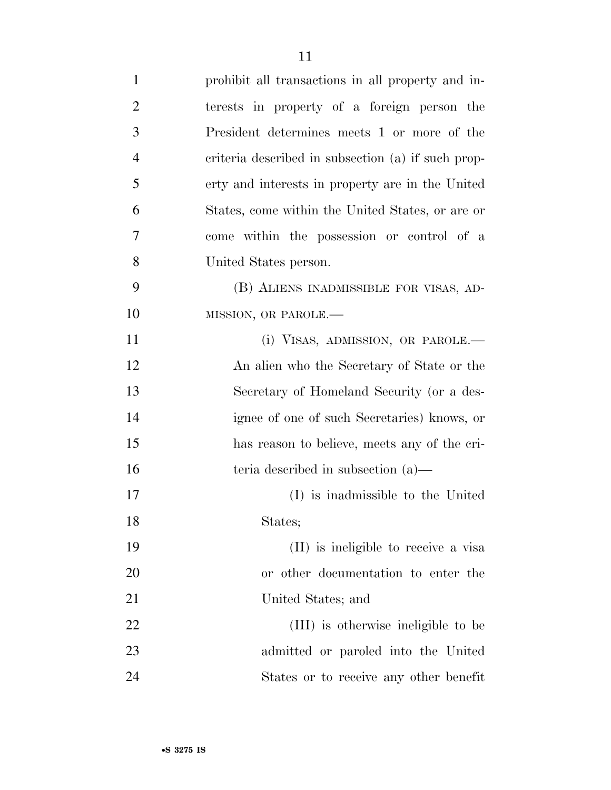| $\mathbf{1}$   | prohibit all transactions in all property and in-  |
|----------------|----------------------------------------------------|
| $\overline{2}$ | terests in property of a foreign person the        |
| 3              | President determines meets 1 or more of the        |
| $\overline{4}$ | criteria described in subsection (a) if such prop- |
| 5              | erty and interests in property are in the United   |
| 6              | States, come within the United States, or are or   |
| 7              | come within the possession or control of a         |
| 8              | United States person.                              |
| 9              | (B) ALIENS INADMISSIBLE FOR VISAS, AD-             |
| 10             | MISSION, OR PAROLE.-                               |
| 11             | (i) VISAS, ADMISSION, OR PAROLE.—                  |
| 12             | An alien who the Secretary of State or the         |
| 13             | Secretary of Homeland Security (or a des-          |
| 14             | ignee of one of such Secretaries) knows, or        |
| 15             | has reason to believe, meets any of the cri-       |
| 16             | teria described in subsection $(a)$ —              |
| 17             | (I) is inadmissible to the United                  |
| 18             | States;                                            |
| 19             | (II) is ineligible to receive a visa               |
| 20             | or other documentation to enter the                |
| 21             | United States; and                                 |
| 22             | (III) is otherwise ineligible to be                |
| 23             | admitted or paroled into the United                |
| 24             | States or to receive any other benefit             |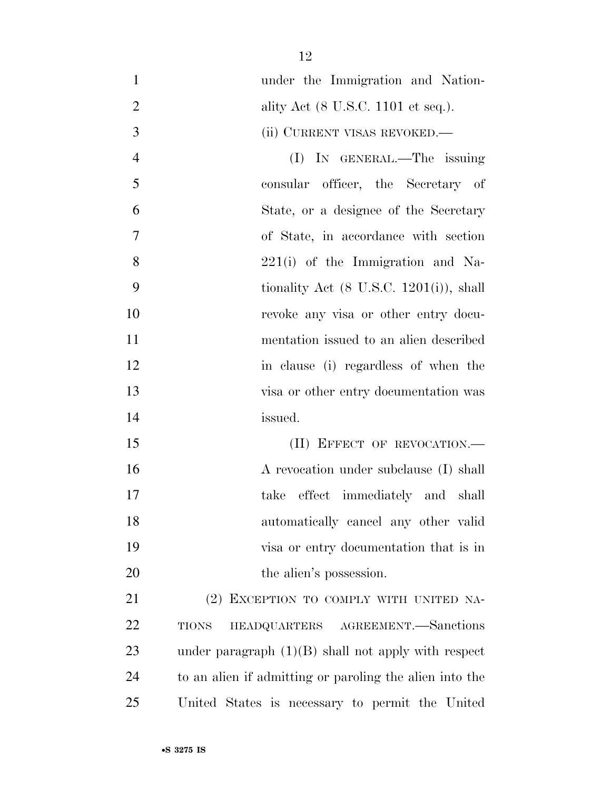| $\mathbf{1}$   | under the Immigration and Nation-                       |
|----------------|---------------------------------------------------------|
| $\overline{2}$ | ality Act (8 U.S.C. 1101 et seq.).                      |
| 3              | (ii) CURRENT VISAS REVOKED.-                            |
| $\overline{4}$ | (I) IN GENERAL.—The issuing                             |
| 5              | consular officer, the Secretary of                      |
| 6              | State, or a designee of the Secretary                   |
| $\tau$         | of State, in accordance with section                    |
| 8              | $221(i)$ of the Immigration and Na-                     |
| 9              | tionality Act $(8 \text{ U.S.C. } 1201(i))$ , shall     |
| 10             | revoke any visa or other entry docu-                    |
| 11             | mentation issued to an alien described                  |
| 12             | in clause (i) regardless of when the                    |
| 13             | visa or other entry documentation was                   |
| 14             | issued.                                                 |
| 15             | (II) EFFECT OF REVOCATION.                              |
| 16             | A revocation under subclause (I) shall                  |
| 17             | take effect immediately and shall                       |
| 18             | automatically cancel any other valid                    |
| 19             | visa or entry documentation that is in                  |
| 20             | the alien's possession.                                 |
| 21             | (2) EXCEPTION TO COMPLY WITH UNITED NA-                 |
| 22             | HEADQUARTERS AGREEMENT. Sanctions<br><b>TIONS</b>       |
| 23             | under paragraph $(1)(B)$ shall not apply with respect   |
| 24             | to an alien if admitting or paroling the alien into the |
| 25             | United States is necessary to permit the United         |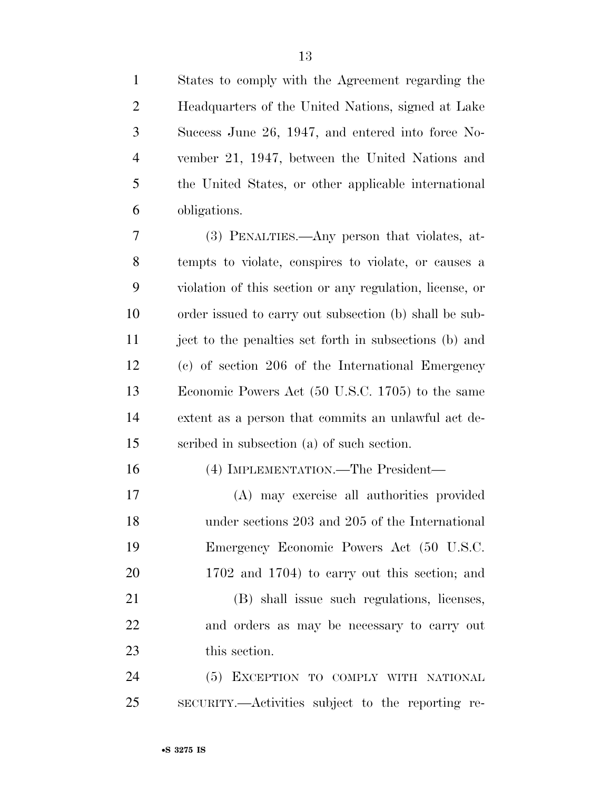| $\mathbf{1}$   | States to comply with the Agreement regarding the        |
|----------------|----------------------------------------------------------|
| $\overline{c}$ | Headquarters of the United Nations, signed at Lake       |
| 3              | Success June 26, 1947, and entered into force No-        |
| $\overline{4}$ | vember 21, 1947, between the United Nations and          |
| 5              | the United States, or other applicable international     |
| 6              | obligations.                                             |
| 7              | (3) PENALTIES.—Any person that violates, at-             |
| 8              | tempts to violate, conspires to violate, or causes a     |
| 9              | violation of this section or any regulation, license, or |
| 10             | order issued to carry out subsection (b) shall be sub-   |
| 11             | ject to the penalties set forth in subsections (b) and   |
| 12             | (c) of section 206 of the International Emergency        |
| 13             | Economic Powers Act (50 U.S.C. 1705) to the same         |
| 14             | extent as a person that commits an unlawful act de-      |
| 15             | scribed in subsection (a) of such section.               |
| 16             | (4) IMPLEMENTATION.—The President—                       |
| 17             | (A) may exercise all authorities provided                |
| 18             | under sections 203 and 205 of the International          |
| 19             | Emergency Economic Powers Act (50 U.S.C.                 |
| 20             | 1702 and 1704) to carry out this section; and            |
| 21             | (B) shall issue such regulations, licenses,              |
| 22             | and orders as may be necessary to carry out              |
| 23             | this section.                                            |
| 24             | (5) EXCEPTION TO COMPLY WITH NATIONAL                    |
| 25             | SECURITY.—Activities subject to the reporting re-        |